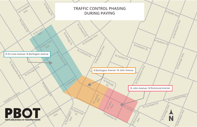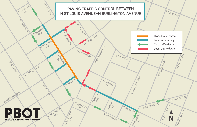

# PAVING TRAFFIC CONTROL BETWEEN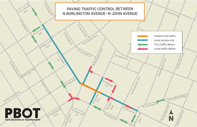N Burlington Ave.

N Alta Ave.

N Lombard St.

N Trailogo

N Leonard St.

N Leonard St.

N Chicago Ave.

N Ivanhoe St.

N Richmond i<br>Ave.



N Jersey St.

N Central St.

### 23  $\bullet$ **PORTLAND BUREAU OF TRANSPORTATION**

Chicago Ave

N Williams Black

N Baltimore Ave.

H Nagyar

N Trumbull

N Kellogg St.

N New York

N St Louis

Syracuse S

N Philadelphia

N Syracuse

N Charleston Ave

#### PAVING TRAFFIC CONTROL BETWEEN N BURLINGTON AVENUE–N JOHN AVENUE

N Burlington Ave.

N Leavitt

N John

N Kellogg